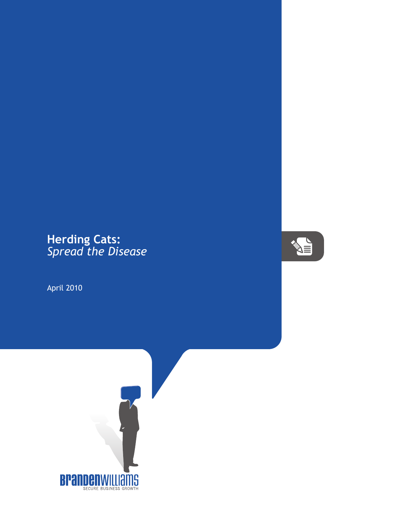## **Herding Cats:** *Spread the Disease*

April 2010



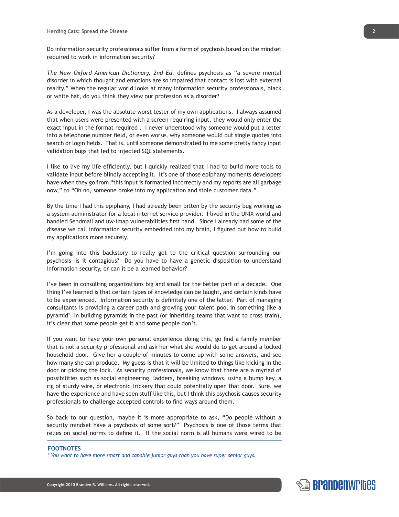Do information security professionals suffer from a form of psychosis based on the mindset required to work in information security?

*The New Oxford American Dictionary, 2nd Ed.* defines psychosis as "a severe mental disorder in which thought and emotions are so impaired that contact is lost with external reality." When the regular world looks at many information security professionals, black or white hat, do you think they view our profession as a disorder?

As a developer, I was the absolute worst tester of my own applications. I always assumed that when users were presented with a screen requiring input, they would only enter the exact input in the format required . I never understood why someone would put a letter into a telephone number field, or even worse, why someone would put single quotes into search or login fields. That is, until someone demonstrated to me some pretty fancy input validation bugs that led to injected SQL statements.

I like to live my life efficiently, but I quickly realized that I had to build more tools to validate input before blindly accepting it. It's one of those epiphany moments developers have when they go from "this input is formatted incorrectly and my reports are all garbage now," to "Oh no, someone broke into my application and stole customer data."

By the time I had this epiphany, I had already been bitten by the security bug working as a system administrator for a local internet service provider. I lived in the UNIX world and handled Sendmail and uw-imap vulnerabilities first hand. Since I already had some of the disease we call information security embedded into my brain, I figured out how to build my applications more securely.

I'm going into this backstory to really get to the critical question surrounding our psychosis—is it contagious? Do you have to have a genetic disposition to understand information security, or can it be a learned behavior?

I've been in consulting organizations big and small for the better part of a decade. One thing I've learned is that certain types of knowledge can be taught, and certain kinds have to be experienced. Information security is definitely one of the latter. Part of managing consultants is providing a career path and growing your talent pool in something like a pyramid<sup>1</sup>. In building pyramids in the past (or inheriting teams that want to cross train), it's clear that some people get it and some people don't.

If you want to have your own personal experience doing this, go find a family member that is not a security professional and ask her what she would do to get around a locked household door. Give her a couple of minutes to come up with some answers, and see how many she can produce. My guess is that it will be limited to things like kicking in the door or picking the lock. As security professionals, we know that there are a myriad of possibilities such as social engineering, ladders, breaking windows, using a bump key, a rig of sturdy wire, or electronic trickery that could potentially open that door. Sure, we have the experience and have seen stuff like this, but I think this psychosis causes security professionals to challenge accepted controls to find ways around them.

So back to our question, maybe it is more appropriate to ask, "Do people without a security mindset have a psychosis of some sort?" Psychosis is one of those terms that relies on social norms to define it. If the social norm is all humans were wired to be

## **FOOTNOTES**

*1 You want to have more smart and capable junior guys than you have super senior guys.*

**2**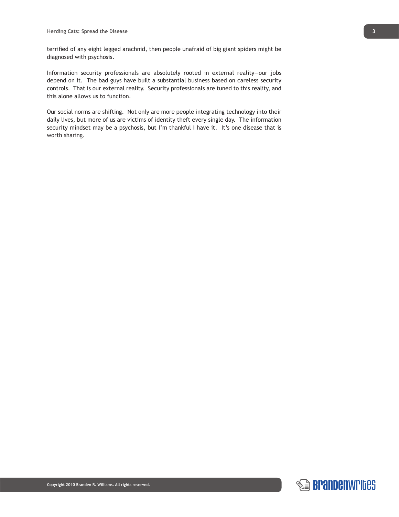terrified of any eight legged arachnid, then people unafraid of big giant spiders might be diagnosed with psychosis.

Information security professionals are absolutely rooted in external reality—our jobs depend on it. The bad guys have built a substantial business based on careless security controls. That is our external reality. Security professionals are tuned to this reality, and this alone allows us to function.

Our social norms are shifting. Not only are more people integrating technology into their daily lives, but more of us are victims of identity theft every single day. The information security mindset may be a psychosis, but I'm thankful I have it. It's one disease that is worth sharing.